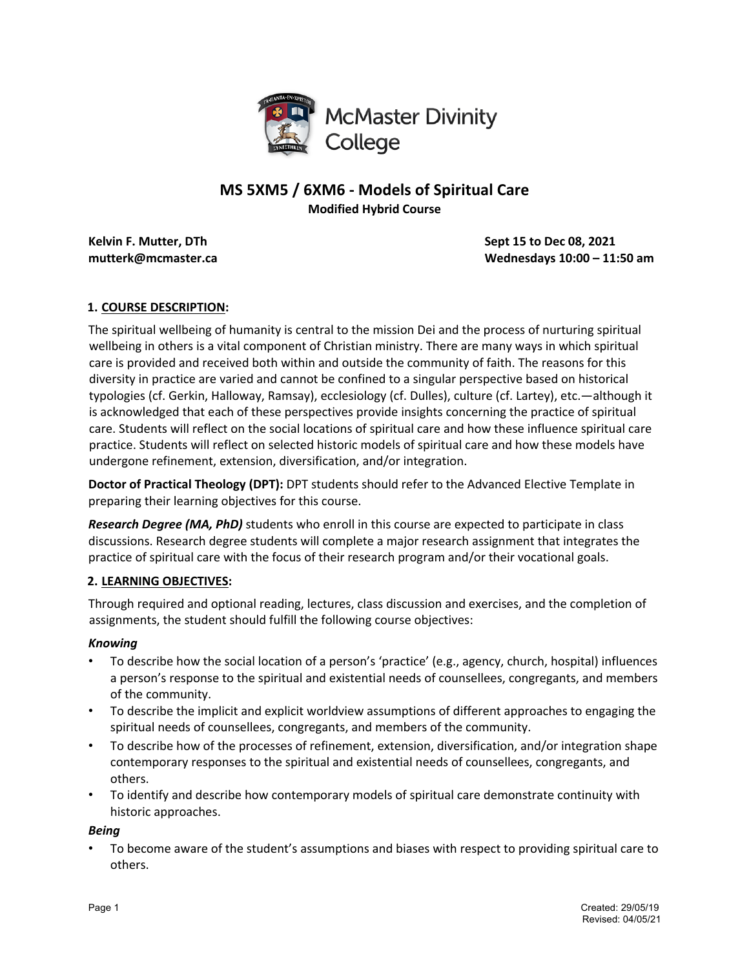

# **MS 5XM5 / 6XM6 - Models of Spiritual Care Modified Hybrid Course**

**Kelvin F. Mutter, DTh Sept 15** to Dec 08, 2021 **mutterk@mcmaster.ca Wednesdays 10:00 – 11:50 am** 

# **1. COURSE DESCRIPTION:**

The spiritual wellbeing of humanity is central to the mission Dei and the process of nurturing spiritual wellbeing in others is a vital component of Christian ministry. There are many ways in which spiritual care is provided and received both within and outside the community of faith. The reasons for this diversity in practice are varied and cannot be confined to a singular perspective based on historical typologies (cf. Gerkin, Halloway, Ramsay), ecclesiology (cf. Dulles), culture (cf. Lartey), etc.—although it is acknowledged that each of these perspectives provide insights concerning the practice of spiritual care. Students will reflect on the social locations of spiritual care and how these influence spiritual care practice. Students will reflect on selected historic models of spiritual care and how these models have undergone refinement, extension, diversification, and/or integration.

**Doctor of Practical Theology (DPT):** DPT students should refer to the Advanced Elective Template in preparing their learning objectives for this course.

*Research Degree (MA, PhD)* students who enroll in this course are expected to participate in class discussions. Research degree students will complete a major research assignment that integrates the practice of spiritual care with the focus of their research program and/or their vocational goals.

## **2. LEARNING OBJECTIVES:**

Through required and optional reading, lectures, class discussion and exercises, and the completion of assignments, the student should fulfill the following course objectives:

## *Knowing*

- To describe how the social location of a person's 'practice' (e.g., agency, church, hospital) influences a person's response to the spiritual and existential needs of counsellees, congregants, and members of the community.
- To describe the implicit and explicit worldview assumptions of different approaches to engaging the spiritual needs of counsellees, congregants, and members of the community.
- To describe how of the processes of refinement, extension, diversification, and/or integration shape contemporary responses to the spiritual and existential needs of counsellees, congregants, and others.
- To identify and describe how contemporary models of spiritual care demonstrate continuity with historic approaches.

## *Being*

• To become aware of the student's assumptions and biases with respect to providing spiritual care to others.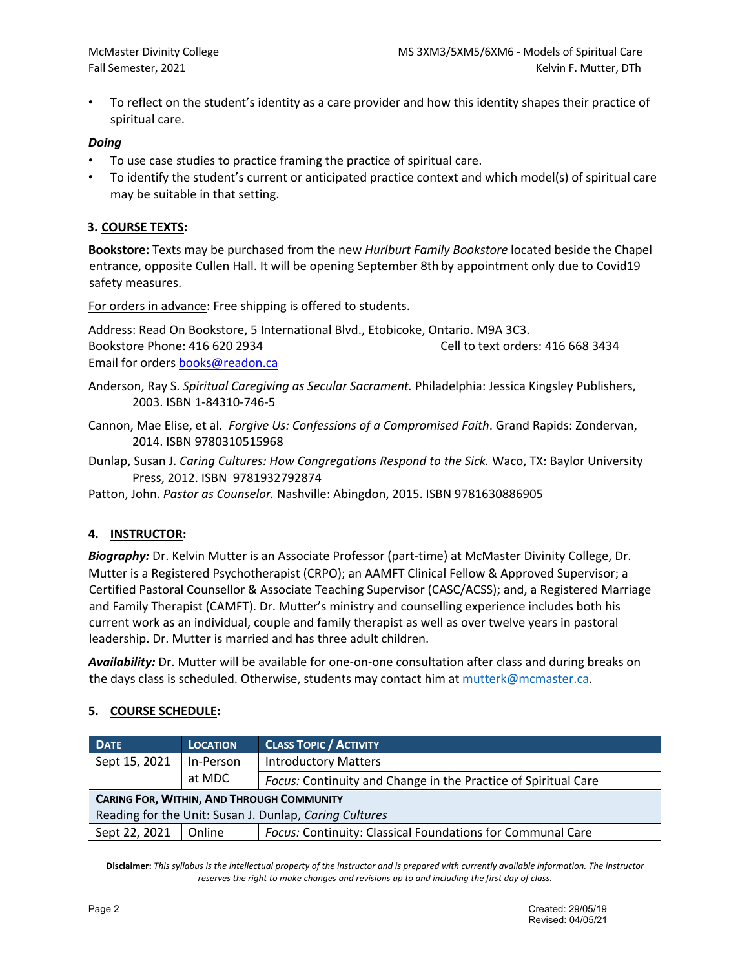• To reflect on the student's identity as a care provider and how this identity shapes their practice of spiritual care.

#### *Doing*

- To use case studies to practice framing the practice of spiritual care.
- To identify the student's current or anticipated practice context and which model(s) of spiritual care may be suitable in that setting.

#### **3. COURSE TEXTS:**

**Bookstore:** Texts may be purchased from the new *Hurlburt Family Bookstore* located beside the Chapel entrance, opposite Cullen Hall. It will be opening September 8th by appointment only due to Covid19 safety measures.

For orders in advance: Free shipping is offered to students.

Address: Read On Bookstore, 5 International Blvd., Etobicoke, Ontario. M9A 3C3. Bookstore Phone: 416 620 2934 Cell to text orders: 416 668 3434 Email for orders **books@readon.ca** 

Anderson, Ray S. *Spiritual Caregiving as Secular Sacrament.* Philadelphia: Jessica Kingsley Publishers, 2003. ISBN 1-84310-746-5

Cannon, Mae Elise, et al. *Forgive Us: Confessions of a Compromised Faith*. Grand Rapids: Zondervan, 2014. ISBN 9780310515968

Dunlap, Susan J. *Caring Cultures: How Congregations Respond to the Sick.* Waco, TX: Baylor University Press, 2012. ISBN 9781932792874

Patton, John. *Pastor as Counselor.* Nashville: Abingdon, 2015. ISBN 9781630886905

## **4. INSTRUCTOR:**

*Biography:* Dr. Kelvin Mutter is an Associate Professor (part-time) at McMaster Divinity College, Dr. Mutter is a Registered Psychotherapist (CRPO); an AAMFT Clinical Fellow & Approved Supervisor; a Certified Pastoral Counsellor & Associate Teaching Supervisor (CASC/ACSS); and, a Registered Marriage and Family Therapist (CAMFT). Dr. Mutter's ministry and counselling experience includes both his current work as an individual, couple and family therapist as well as over twelve years in pastoral leadership. Dr. Mutter is married and has three adult children.

*Availability:* Dr. Mutter will be available for one-on-one consultation after class and during breaks on the days class is scheduled. Otherwise, students may contact him at mutterk@mcmaster.ca.

#### **5. COURSE SCHEDULE:**

| <b>DATE</b>                                            | <b>LOCATION</b> | <b>CLASS TOPIC / ACTIVITY</b>                                  |  |  |  |
|--------------------------------------------------------|-----------------|----------------------------------------------------------------|--|--|--|
| Sept 15, 2021<br>In-Person                             |                 | <b>Introductory Matters</b>                                    |  |  |  |
|                                                        | at MDC          | Focus: Continuity and Change in the Practice of Spiritual Care |  |  |  |
| <b>CARING FOR, WITHIN, AND THROUGH COMMUNITY</b>       |                 |                                                                |  |  |  |
| Reading for the Unit: Susan J. Dunlap, Caring Cultures |                 |                                                                |  |  |  |
| Sept 22, 2021                                          | Online          | Focus: Continuity: Classical Foundations for Communal Care     |  |  |  |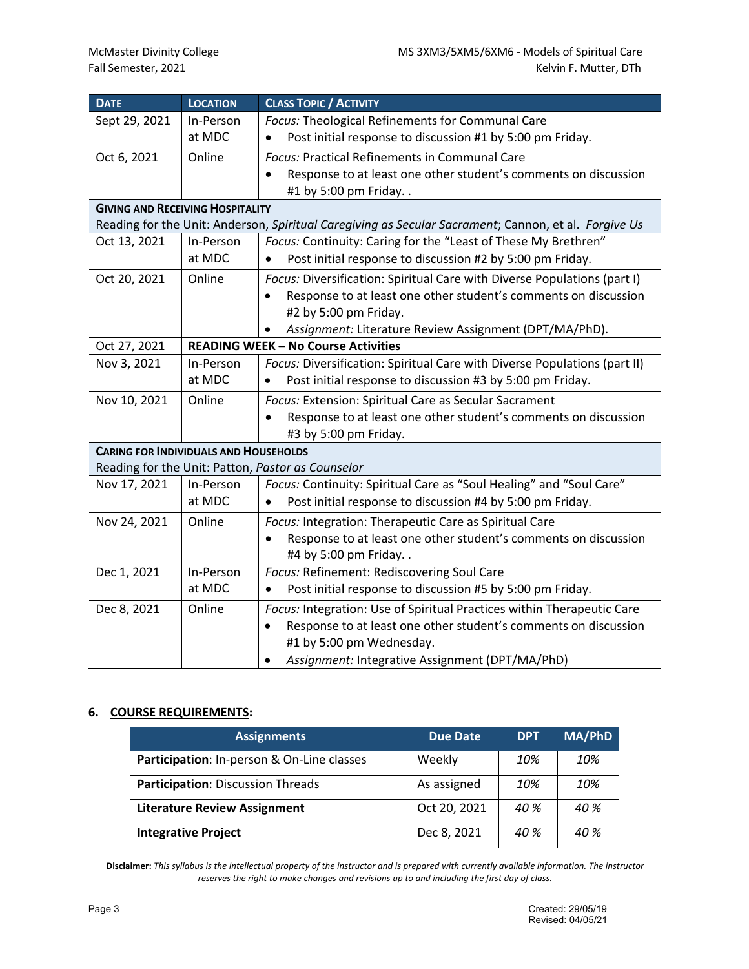| <b>DATE</b>                                                                                          | <b>LOCATION</b>                                                             | <b>CLASS TOPIC / ACTIVITY</b>                                                |  |  |  |  |
|------------------------------------------------------------------------------------------------------|-----------------------------------------------------------------------------|------------------------------------------------------------------------------|--|--|--|--|
| Sept 29, 2021                                                                                        | In-Person                                                                   | Focus: Theological Refinements for Communal Care                             |  |  |  |  |
|                                                                                                      | at MDC                                                                      | Post initial response to discussion #1 by 5:00 pm Friday.                    |  |  |  |  |
| Oct 6, 2021                                                                                          | Online                                                                      | <b>Focus: Practical Refinements in Communal Care</b>                         |  |  |  |  |
|                                                                                                      |                                                                             | Response to at least one other student's comments on discussion<br>$\bullet$ |  |  |  |  |
|                                                                                                      |                                                                             | #1 by 5:00 pm Friday                                                         |  |  |  |  |
| <b>GIVING AND RECEIVING HOSPITALITY</b>                                                              |                                                                             |                                                                              |  |  |  |  |
| Reading for the Unit: Anderson, Spiritual Caregiving as Secular Sacrament; Cannon, et al. Forgive Us |                                                                             |                                                                              |  |  |  |  |
| Oct 13, 2021                                                                                         | Focus: Continuity: Caring for the "Least of These My Brethren"<br>In-Person |                                                                              |  |  |  |  |
|                                                                                                      | at MDC                                                                      | Post initial response to discussion #2 by 5:00 pm Friday.<br>$\bullet$       |  |  |  |  |
| Oct 20, 2021                                                                                         | Online                                                                      | Focus: Diversification: Spiritual Care with Diverse Populations (part I)     |  |  |  |  |
|                                                                                                      |                                                                             | Response to at least one other student's comments on discussion              |  |  |  |  |
|                                                                                                      |                                                                             | #2 by 5:00 pm Friday.                                                        |  |  |  |  |
|                                                                                                      |                                                                             | Assignment: Literature Review Assignment (DPT/MA/PhD).<br>$\bullet$          |  |  |  |  |
| Oct 27, 2021                                                                                         |                                                                             | <b>READING WEEK - No Course Activities</b>                                   |  |  |  |  |
| Nov 3, 2021                                                                                          | In-Person                                                                   | Focus: Diversification: Spiritual Care with Diverse Populations (part II)    |  |  |  |  |
|                                                                                                      | at MDC                                                                      | Post initial response to discussion #3 by 5:00 pm Friday.                    |  |  |  |  |
| Nov 10, 2021                                                                                         | Online                                                                      | Focus: Extension: Spiritual Care as Secular Sacrament                        |  |  |  |  |
|                                                                                                      |                                                                             | Response to at least one other student's comments on discussion              |  |  |  |  |
|                                                                                                      |                                                                             | #3 by 5:00 pm Friday.                                                        |  |  |  |  |
| <b>CARING FOR INDIVIDUALS AND HOUSEHOLDS</b>                                                         |                                                                             |                                                                              |  |  |  |  |
| Reading for the Unit: Patton, Pastor as Counselor                                                    |                                                                             |                                                                              |  |  |  |  |
| Nov 17, 2021                                                                                         | In-Person                                                                   | Focus: Continuity: Spiritual Care as "Soul Healing" and "Soul Care"          |  |  |  |  |
|                                                                                                      | at MDC                                                                      | Post initial response to discussion #4 by 5:00 pm Friday.                    |  |  |  |  |
| Nov 24, 2021                                                                                         | Online                                                                      | Focus: Integration: Therapeutic Care as Spiritual Care                       |  |  |  |  |
|                                                                                                      |                                                                             | Response to at least one other student's comments on discussion<br>$\bullet$ |  |  |  |  |
|                                                                                                      |                                                                             | #4 by 5:00 pm Friday                                                         |  |  |  |  |
| Dec 1, 2021                                                                                          | In-Person                                                                   | Focus: Refinement: Rediscovering Soul Care                                   |  |  |  |  |
|                                                                                                      | at MDC                                                                      | Post initial response to discussion #5 by 5:00 pm Friday.                    |  |  |  |  |
| Dec 8, 2021                                                                                          | Online                                                                      | Focus: Integration: Use of Spiritual Practices within Therapeutic Care       |  |  |  |  |
|                                                                                                      |                                                                             | Response to at least one other student's comments on discussion              |  |  |  |  |
|                                                                                                      |                                                                             | #1 by 5:00 pm Wednesday.                                                     |  |  |  |  |
|                                                                                                      |                                                                             | Assignment: Integrative Assignment (DPT/MA/PhD)                              |  |  |  |  |

## **6. COURSE REQUIREMENTS:**

| <b>Assignments</b>                         | <b>Due Date</b> | <b>DPT</b>      | MA/PhD          |
|--------------------------------------------|-----------------|-----------------|-----------------|
| Participation: In-person & On-Line classes | Weekly          | 10%             | 10%             |
| Participation: Discussion Threads          | As assigned     | 10%             | 10%             |
| <b>Literature Review Assignment</b>        | Oct 20, 2021    | 40 %            | 40 %            |
| <b>Integrative Project</b>                 | Dec 8, 2021     | 40 <sup>%</sup> | 40 <sup>%</sup> |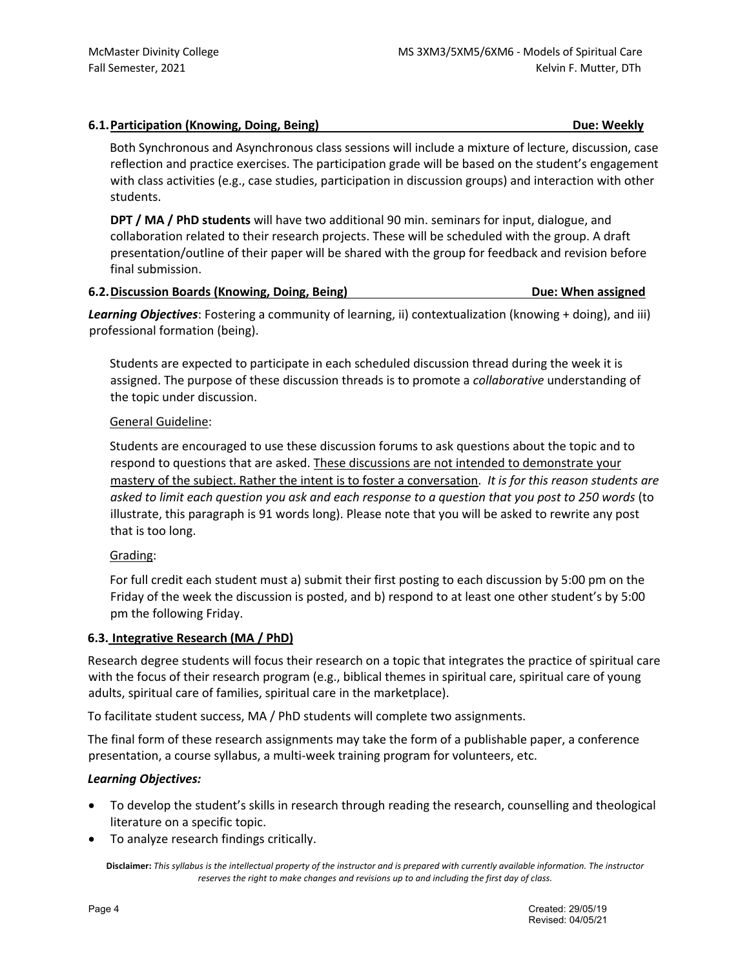# **6.1.Participation (Knowing, Doing, Being) Due: Weekly**

Both Synchronous and Asynchronous class sessions will include a mixture of lecture, discussion, case reflection and practice exercises. The participation grade will be based on the student's engagement with class activities (e.g., case studies, participation in discussion groups) and interaction with other students.

**DPT / MA / PhD students** will have two additional 90 min. seminars for input, dialogue, and collaboration related to their research projects. These will be scheduled with the group. A draft presentation/outline of their paper will be shared with the group for feedback and revision before final submission.

## **6.2.Discussion Boards (Knowing, Doing, Being) Due: When assigned**

*Learning Objectives*: Fostering a community of learning, ii) contextualization (knowing + doing), and iii) professional formation (being).

Students are expected to participate in each scheduled discussion thread during the week it is assigned. The purpose of these discussion threads is to promote a *collaborative* understanding of the topic under discussion.

# General Guideline:

Students are encouraged to use these discussion forums to ask questions about the topic and to respond to questions that are asked. These discussions are not intended to demonstrate your mastery of the subject. Rather the intent is to foster a conversation. *It is for this reason students are asked to limit each question you ask and each response to a question that you post to 250 words* (to illustrate, this paragraph is 91 words long). Please note that you will be asked to rewrite any post that is too long.

# Grading:

For full credit each student must a) submit their first posting to each discussion by 5:00 pm on the Friday of the week the discussion is posted, and b) respond to at least one other student's by 5:00 pm the following Friday.

## **6.3. Integrative Research (MA / PhD)**

Research degree students will focus their research on a topic that integrates the practice of spiritual care with the focus of their research program (e.g., biblical themes in spiritual care, spiritual care of young adults, spiritual care of families, spiritual care in the marketplace).

To facilitate student success, MA / PhD students will complete two assignments.

The final form of these research assignments may take the form of a publishable paper, a conference presentation, a course syllabus, a multi-week training program for volunteers, etc.

## *Learning Objectives:*

- To develop the student's skills in research through reading the research, counselling and theological literature on a specific topic.
- To analyze research findings critically.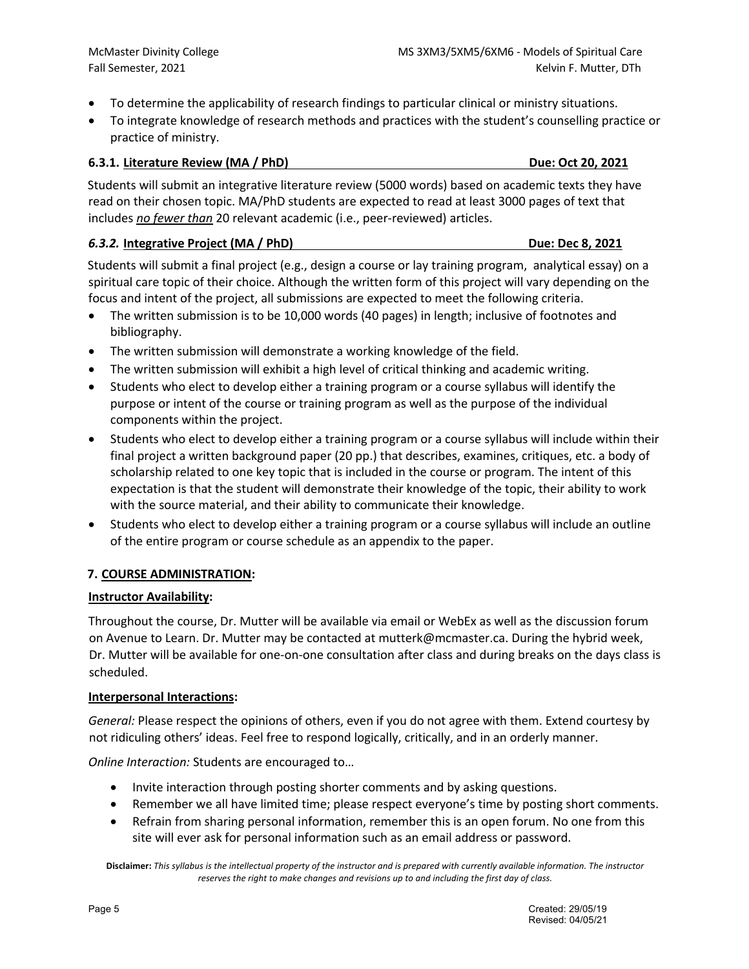- To determine the applicability of research findings to particular clinical or ministry situations.
- To integrate knowledge of research methods and practices with the student's counselling practice or practice of ministry.

## **6.3.1. Literature Review (MA / PhD) Due: Oct 20, 2021**

Students will submit an integrative literature review (5000 words) based on academic texts they have read on their chosen topic. MA/PhD students are expected to read at least 3000 pages of text that includes *no fewer than* 20 relevant academic (i.e., peer-reviewed) articles.

## *6.3.2.* **Integrative Project (MA / PhD) Due: Dec 8, 2021**

Students will submit a final project (e.g., design a course or lay training program, analytical essay) on a spiritual care topic of their choice. Although the written form of this project will vary depending on the focus and intent of the project, all submissions are expected to meet the following criteria.

- The written submission is to be 10,000 words (40 pages) in length; inclusive of footnotes and bibliography.
- The written submission will demonstrate a working knowledge of the field.
- The written submission will exhibit a high level of critical thinking and academic writing.
- Students who elect to develop either a training program or a course syllabus will identify the purpose or intent of the course or training program as well as the purpose of the individual components within the project.
- Students who elect to develop either a training program or a course syllabus will include within their final project a written background paper (20 pp.) that describes, examines, critiques, etc. a body of scholarship related to one key topic that is included in the course or program. The intent of this expectation is that the student will demonstrate their knowledge of the topic, their ability to work with the source material, and their ability to communicate their knowledge.
- Students who elect to develop either a training program or a course syllabus will include an outline of the entire program or course schedule as an appendix to the paper.

# **7. COURSE ADMINISTRATION:**

## **Instructor Availability:**

Throughout the course, Dr. Mutter will be available via email or WebEx as well as the discussion forum on Avenue to Learn. Dr. Mutter may be contacted at mutterk@mcmaster.ca. During the hybrid week, Dr. Mutter will be available for one-on-one consultation after class and during breaks on the days class is scheduled.

## **Interpersonal Interactions:**

*General:* Please respect the opinions of others, even if you do not agree with them. Extend courtesy by not ridiculing others' ideas. Feel free to respond logically, critically, and in an orderly manner.

*Online Interaction:* Students are encouraged to…

- Invite interaction through posting shorter comments and by asking questions.
- Remember we all have limited time; please respect everyone's time by posting short comments.
- Refrain from sharing personal information, remember this is an open forum. No one from this site will ever ask for personal information such as an email address or password.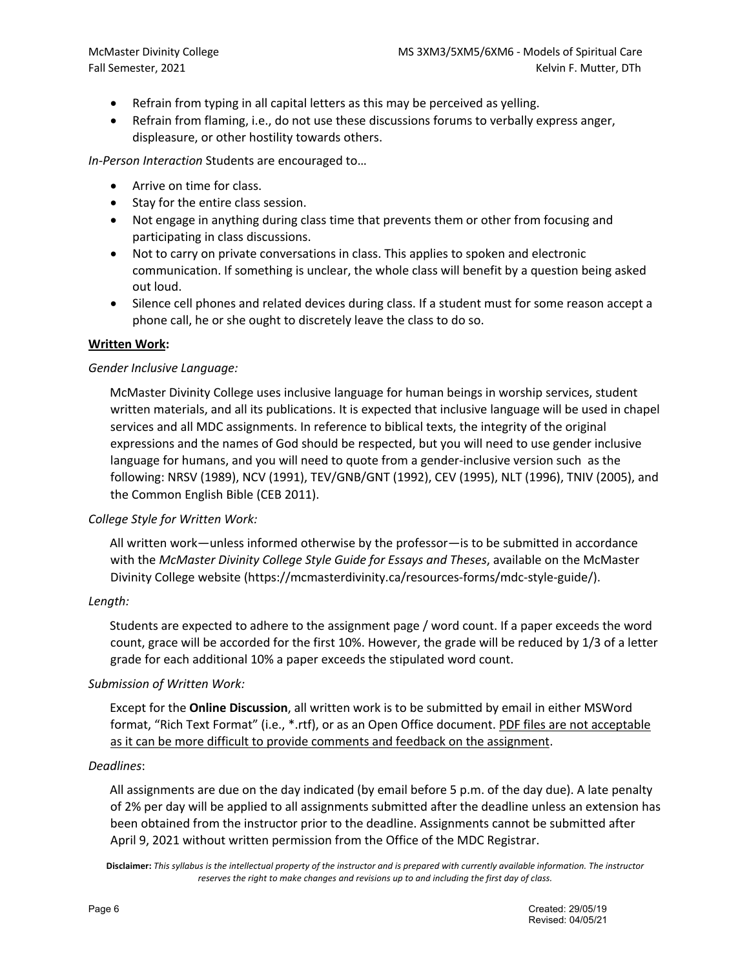- Refrain from typing in all capital letters as this may be perceived as yelling.
- Refrain from flaming, i.e., do not use these discussions forums to verbally express anger, displeasure, or other hostility towards others.

*In-Person Interaction* Students are encouraged to…

- Arrive on time for class.
- Stay for the entire class session.
- Not engage in anything during class time that prevents them or other from focusing and participating in class discussions.
- Not to carry on private conversations in class. This applies to spoken and electronic communication. If something is unclear, the whole class will benefit by a question being asked out loud.
- Silence cell phones and related devices during class. If a student must for some reason accept a phone call, he or she ought to discretely leave the class to do so.

#### **Written Work:**

#### *Gender Inclusive Language:*

McMaster Divinity College uses inclusive language for human beings in worship services, student written materials, and all its publications. It is expected that inclusive language will be used in chapel services and all MDC assignments. In reference to biblical texts, the integrity of the original expressions and the names of God should be respected, but you will need to use gender inclusive language for humans, and you will need to quote from a gender-inclusive version such as the following: NRSV (1989), NCV (1991), TEV/GNB/GNT (1992), CEV (1995), NLT (1996), TNIV (2005), and the Common English Bible (CEB 2011).

## *College Style for Written Work:*

All written work—unless informed otherwise by the professor—is to be submitted in accordance with the *McMaster Divinity College Style Guide for Essays and Theses*, available on the McMaster Divinity College website (https://mcmasterdivinity.ca/resources-forms/mdc-style-guide/).

#### *Length:*

Students are expected to adhere to the assignment page / word count. If a paper exceeds the word count, grace will be accorded for the first 10%. However, the grade will be reduced by 1/3 of a letter grade for each additional 10% a paper exceeds the stipulated word count.

#### *Submission of Written Work:*

Except for the **Online Discussion**, all written work is to be submitted by email in either MSWord format, "Rich Text Format" (i.e., \*.rtf), or as an Open Office document. PDF files are not acceptable as it can be more difficult to provide comments and feedback on the assignment.

#### *Deadlines*:

All assignments are due on the day indicated (by email before 5 p.m. of the day due). A late penalty of 2% per day will be applied to all assignments submitted after the deadline unless an extension has been obtained from the instructor prior to the deadline. Assignments cannot be submitted after April 9, 2021 without written permission from the Office of the MDC Registrar.